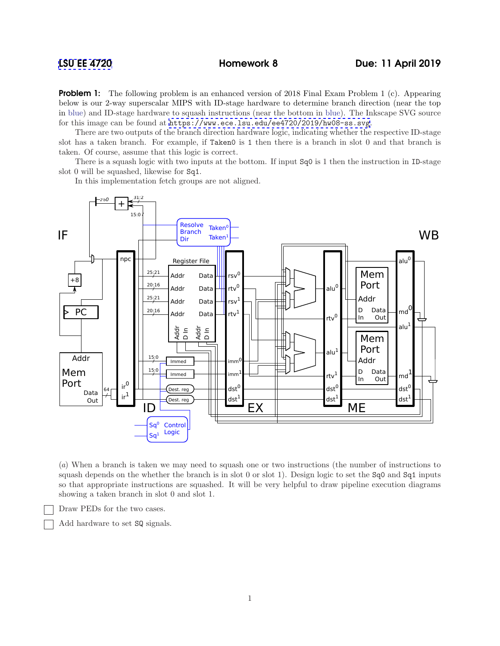**Problem 1:** The following problem is an enhanced version of 2018 Final Exam Problem 1 (c). Appearing below is our 2-way superscalar MIPS with ID-stage hardware to determine branch direction (near the top in blue) and ID-stage hardware to squash instructions (near the bottom in blue). The Inkscape SVG source for this image can be found at <https://www.ece.lsu.edu/ee4720/2019/hw08-ss.svg>.

There are two outputs of the branch direction hardware logic, indicating whether the respective ID-stage slot has a taken branch. For example, if Taken0 is 1 then there is a branch in slot 0 and that branch is taken. Of course, assume that this logic is correct.

There is a squash logic with two inputs at the bottom. If input Sq0 is 1 then the instruction in ID-stage slot 0 will be squashed, likewise for Sq1.

In this implementation fetch groups are not aligned.



(*a*) When a branch is taken we may need to squash one or two instructions (the number of instructions to squash depends on the whether the branch is in slot 0 or slot 1). Design logic to set the Sq0 and Sq1 inputs so that appropriate instructions are squashed. It will be very helpful to draw pipeline execution diagrams showing a taken branch in slot 0 and slot 1.

Draw PEDs for the two cases.

Add hardware to set SQ signals.